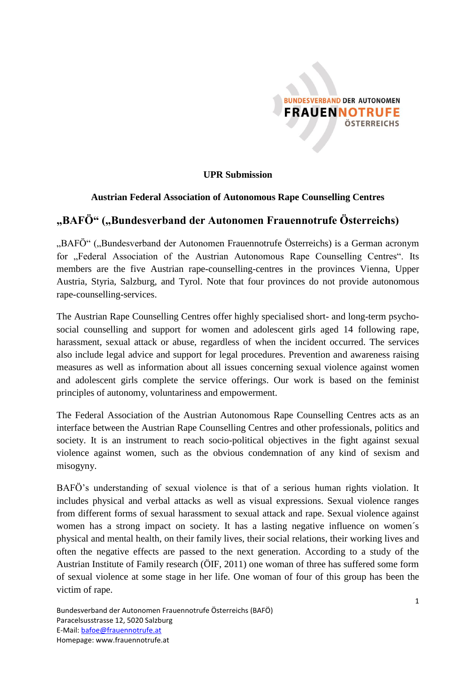

**UPR Submission**

#### **Austrian Federal Association of Autonomous Rape Counselling Centres**

## **"BAFÖ" ("Bundesverband der Autonomen Frauennotrufe Österreichs)**

"BAFÖ" ("Bundesverband der Autonomen Frauennotrufe Österreichs) is a German acronym for "Federal Association of the Austrian Autonomous Rape Counselling Centres". Its members are the five Austrian rape-counselling-centres in the provinces Vienna, Upper Austria, Styria, Salzburg, and Tyrol. Note that four provinces do not provide autonomous rape-counselling-services.

The Austrian Rape Counselling Centres offer highly specialised short- and long-term psychosocial counselling and support for women and adolescent girls aged 14 following rape, harassment, sexual attack or abuse, regardless of when the incident occurred. The services also include legal advice and support for legal procedures. Prevention and awareness raising measures as well as information about all issues concerning sexual violence against women and adolescent girls complete the service offerings. Our work is based on the feminist principles of autonomy, voluntariness and empowerment.

The Federal Association of the Austrian Autonomous Rape Counselling Centres acts as an interface between the Austrian Rape Counselling Centres and other professionals, politics and society. It is an instrument to reach socio-political objectives in the fight against sexual violence against women, such as the obvious condemnation of any kind of sexism and misogyny.

BAFÖ's understanding of sexual violence is that of a serious human rights violation. It includes physical and verbal attacks as well as visual expressions. Sexual violence ranges from different forms of sexual harassment to sexual attack and rape. Sexual violence against women has a strong impact on society. It has a lasting negative influence on women´s physical and mental health, on their family lives, their social relations, their working lives and often the negative effects are passed to the next generation. According to a study of the Austrian Institute of Family research (ÖIF, 2011) one woman of three has suffered some form of sexual violence at some stage in her life. One woman of four of this group has been the victim of rape.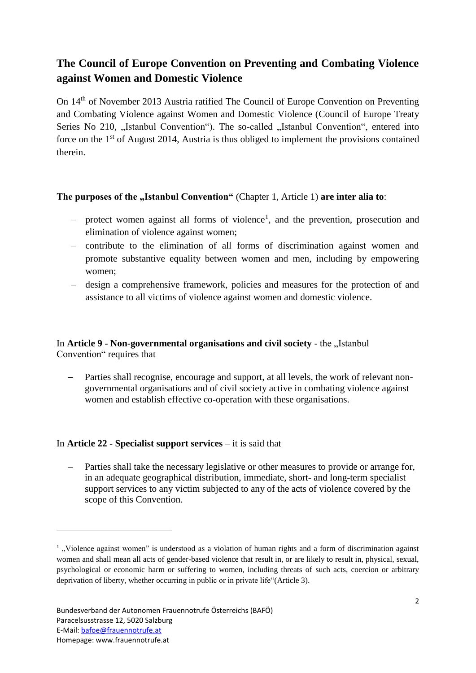# **The Council of Europe Convention on Preventing and Combating Violence against Women and Domestic Violence**

On 14th of November 2013 Austria ratified The Council of Europe Convention on Preventing and Combating Violence against Women and Domestic Violence (Council of Europe Treaty Series No 210, "Istanbul Convention"). The so-called "Istanbul Convention", entered into force on the  $1<sup>st</sup>$  of August 2014, Austria is thus obliged to implement the provisions contained therein.

### **The purposes of the "Istanbul Convention"** (Chapter 1, Article 1) are inter alia to:

- protect women against all forms of violence<sup>1</sup>, and the prevention, prosecution and elimination of violence against women;
- contribute to the elimination of all forms of discrimination against women and promote substantive equality between women and men, including by empowering women;
- design a comprehensive framework, policies and measures for the protection of and assistance to all victims of violence against women and domestic violence.

### In **Article 9 - Non-governmental organisations and civil society** - the "Istanbul Convention" requires that

 Parties shall recognise, encourage and support, at all levels, the work of relevant nongovernmental organisations and of civil society active in combating violence against women and establish effective co-operation with these organisations.

### In **Article 22 - Specialist support services** – it is said that

 Parties shall take the necessary legislative or other measures to provide or arrange for, in an adequate geographical distribution, immediate, short- and long-term specialist support services to any victim subjected to any of the acts of violence covered by the scope of this Convention.

**.** 

<sup>&</sup>lt;sup>1</sup>, Violence against women" is understood as a violation of human rights and a form of discrimination against women and shall mean all acts of gender-based violence that result in, or are likely to result in, physical, sexual, psychological or economic harm or suffering to women, including threats of such acts, coercion or arbitrary deprivation of liberty, whether occurring in public or in private life"(Article 3).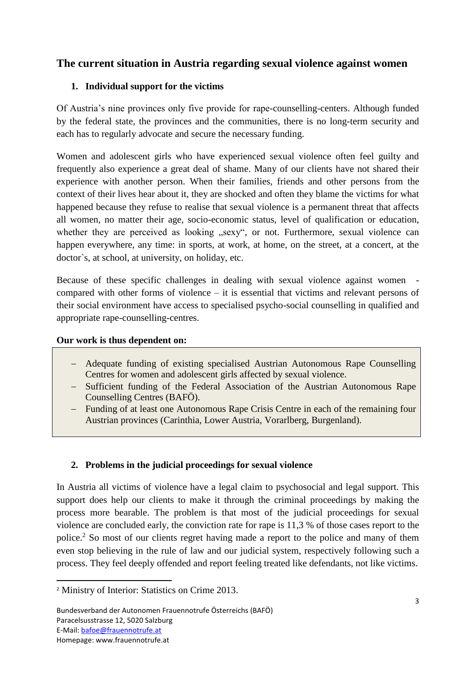# **The current situation in Austria regarding sexual violence against women**

### **1. Individual support for the victims**

Of Austria's nine provinces only five provide for rape-counselling-centers. Although funded by the federal state, the provinces and the communities, there is no long-term security and each has to regularly advocate and secure the necessary funding.

Women and adolescent girls who have experienced sexual violence often feel guilty and frequently also experience a great deal of shame. Many of our clients have not shared their experience with another person. When their families, friends and other persons from the context of their lives hear about it, they are shocked and often they blame the victims for what happened because they refuse to realise that sexual violence is a permanent threat that affects all women, no matter their age, socio-economic status, level of qualification or education, whether they are perceived as looking "sexy", or not. Furthermore, sexual violence can happen everywhere, any time: in sports, at work, at home, on the street, at a concert, at the doctor`s, at school, at university, on holiday, etc.

Because of these specific challenges in dealing with sexual violence against women compared with other forms of violence – it is essential that victims and relevant persons of their social environment have access to specialised psycho-social counselling in qualified and appropriate rape-counselling-centres.

### **Our work is thus dependent on:**

- Adequate funding of existing specialised Austrian Autonomous Rape Counselling Centres for women and adolescent girls affected by sexual violence.
- Sufficient funding of the Federal Association of the Austrian Autonomous Rape Counselling Centres (BAFÖ).
- Funding of at least one Autonomous Rape Crisis Centre in each of the remaining four Austrian provinces (Carinthia, Lower Austria, Vorarlberg, Burgenland).

### **2. Problems in the judicial proceedings for sexual violence**

In Austria all victims of violence have a legal claim to psychosocial and legal support. This support does help our clients to make it through the criminal proceedings by making the process more bearable. The problem is that most of the judicial proceedings for sexual violence are concluded early, the conviction rate for rape is 11,3 % of those cases report to the police.<sup>2</sup> So most of our clients regret having made a report to the police and many of them even stop believing in the rule of law and our judicial system, respectively following such a process. They feel deeply offended and report feeling treated like defendants, not like victims.

<sup>1</sup> <sup>2</sup> Ministry of Interior: Statistics on Crime 2013.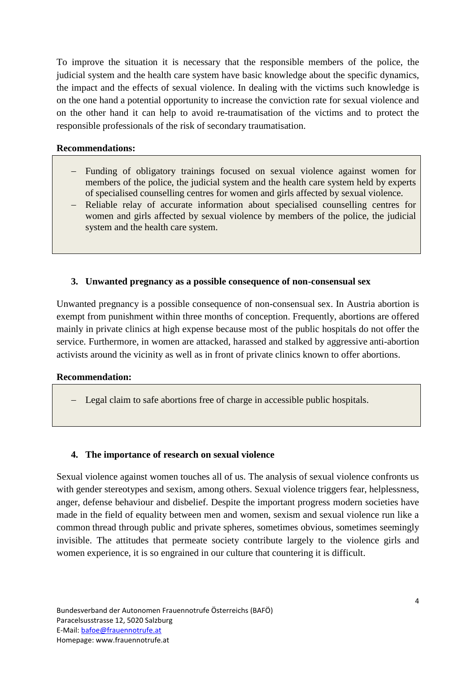To improve the situation it is necessary that the responsible members of the police, the judicial system and the health care system have basic knowledge about the specific dynamics, the impact and the effects of sexual violence. In dealing with the victims such knowledge is on the one hand a potential opportunity to increase the conviction rate for sexual violence and on the other hand it can help to avoid re-traumatisation of the victims and to protect the responsible professionals of the risk of secondary traumatisation.

### **Recommendations:**

- Funding of obligatory trainings focused on sexual violence against women for members of the police, the judicial system and the health care system held by experts of specialised counselling centres for women and girls affected by sexual violence.
- Reliable relay of accurate information about specialised counselling centres for women and girls affected by sexual violence by members of the police, the judicial system and the health care system.

### **3. Unwanted pregnancy as a possible consequence of non-consensual sex**

Unwanted pregnancy is a possible consequence of non-consensual sex. In Austria abortion is exempt from punishment within three months of conception. Frequently, abortions are offered mainly in private clinics at high expense because most of the public hospitals do not offer the service. Furthermore, in women are attacked, harassed and stalked by aggressive anti-abortion activists around the vicinity as well as in front of private clinics known to offer abortions.

#### **Recommendation:**

Legal claim to safe abortions free of charge in accessible public hospitals.

### **4. The importance of research on sexual violence**

Sexual violence against women touches all of us. The analysis of sexual violence confronts us with gender stereotypes and sexism, among others. Sexual violence triggers fear, helplessness, anger, defense behaviour and disbelief. Despite the important progress modern societies have made in the field of equality between men and women, sexism and sexual violence run like a common thread through public and private spheres, sometimes obvious, sometimes seemingly invisible. The attitudes that permeate society contribute largely to the violence girls and women experience, it is so engrained in our culture that countering it is difficult.